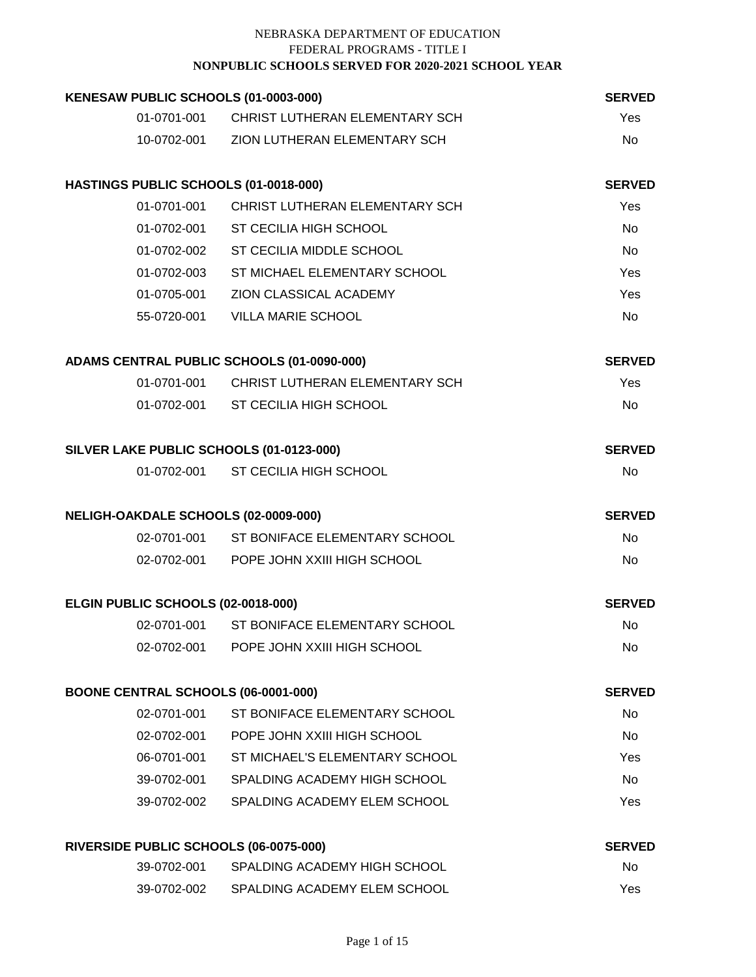| KENESAW PUBLIC SCHOOLS (01-0003-000)       |                                            | <b>SERVED</b> |
|--------------------------------------------|--------------------------------------------|---------------|
| 01-0701-001                                | CHRIST LUTHERAN ELEMENTARY SCH             | Yes           |
|                                            | 10-0702-001 ZION LUTHERAN ELEMENTARY SCH   | <b>No</b>     |
| HASTINGS PUBLIC SCHOOLS (01-0018-000)      |                                            | <b>SERVED</b> |
| 01-0701-001                                | CHRIST LUTHERAN ELEMENTARY SCH             | Yes           |
|                                            | 01-0702-001 ST CECILIA HIGH SCHOOL         | <b>No</b>     |
|                                            | 01-0702-002 ST CECILIA MIDDLE SCHOOL       | <b>No</b>     |
|                                            | 01-0702-003 ST MICHAEL ELEMENTARY SCHOOL   | Yes           |
| 01-0705-001                                | ZION CLASSICAL ACADEMY                     | Yes           |
| 55-0720-001                                | <b>VILLA MARIE SCHOOL</b>                  | No            |
| ADAMS CENTRAL PUBLIC SCHOOLS (01-0090-000) |                                            | <b>SERVED</b> |
|                                            | 01-0701-001 CHRIST LUTHERAN ELEMENTARY SCH | Yes           |
|                                            | 01-0702-001 ST CECILIA HIGH SCHOOL         | No            |
| SILVER LAKE PUBLIC SCHOOLS (01-0123-000)   |                                            | <b>SERVED</b> |
|                                            | 01-0702-001 ST CECILIA HIGH SCHOOL         | <b>No</b>     |
| NELIGH-OAKDALE SCHOOLS (02-0009-000)       |                                            | <b>SERVED</b> |
|                                            | 02-0701-001 ST BONIFACE ELEMENTARY SCHOOL  | <b>No</b>     |
|                                            | 02-0702-001 POPE JOHN XXIII HIGH SCHOOL    | <b>No</b>     |
| ELGIN PUBLIC SCHOOLS (02-0018-000)         |                                            | <b>SERVED</b> |
| 02-0701-001                                | ST BONIFACE ELEMENTARY SCHOOL              | No            |
| 02-0702-001                                | POPE JOHN XXIII HIGH SCHOOL                | No            |
| BOONE CENTRAL SCHOOLS (06-0001-000)        |                                            | <b>SERVED</b> |
| 02-0701-001                                | ST BONIFACE ELEMENTARY SCHOOL              | No            |
| 02-0702-001                                | POPE JOHN XXIII HIGH SCHOOL                | No            |
| 06-0701-001                                | ST MICHAEL'S ELEMENTARY SCHOOL             | Yes           |
| 39-0702-001                                | SPALDING ACADEMY HIGH SCHOOL               | No            |
| 39-0702-002                                | SPALDING ACADEMY ELEM SCHOOL               | Yes           |
| RIVERSIDE PUBLIC SCHOOLS (06-0075-000)     |                                            | <b>SERVED</b> |
| 39-0702-001                                | SPALDING ACADEMY HIGH SCHOOL               | No            |
|                                            | 39-0702-002 SPALDING ACADEMY ELEM SCHOOL   | Yes           |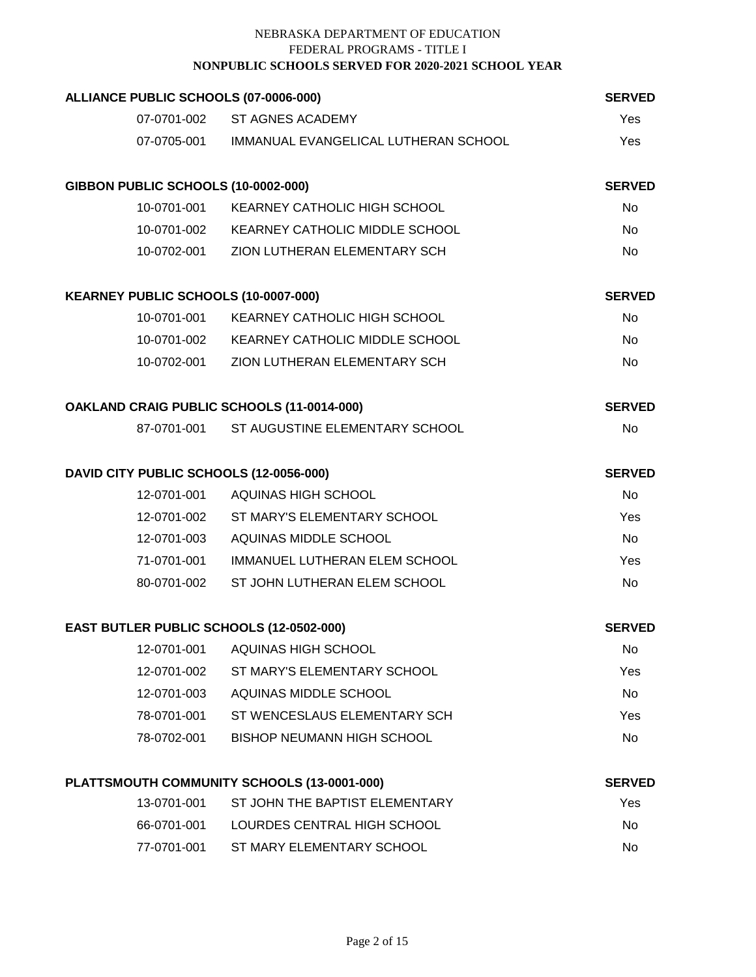| ALLIANCE PUBLIC SCHOOLS (07-0006-000)      |                                                  | <b>SERVED</b> |
|--------------------------------------------|--------------------------------------------------|---------------|
|                                            | 07-0701-002 ST AGNES ACADEMY                     | Yes           |
|                                            | 07-0705-001 IMMANUAL EVANGELICAL LUTHERAN SCHOOL | Yes           |
| GIBBON PUBLIC SCHOOLS (10-0002-000)        |                                                  | <b>SERVED</b> |
|                                            | 10-0701-001 KEARNEY CATHOLIC HIGH SCHOOL         | No            |
|                                            | 10-0701-002 KEARNEY CATHOLIC MIDDLE SCHOOL       | No            |
|                                            | 10-0702-001 ZION LUTHERAN ELEMENTARY SCH         | No            |
| KEARNEY PUBLIC SCHOOLS (10-0007-000)       |                                                  | <b>SERVED</b> |
|                                            | 10-0701-001 KEARNEY CATHOLIC HIGH SCHOOL         | No            |
|                                            | 10-0701-002 KEARNEY CATHOLIC MIDDLE SCHOOL       | No            |
|                                            | 10-0702-001 ZION LUTHERAN ELEMENTARY SCH         | <b>No</b>     |
| OAKLAND CRAIG PUBLIC SCHOOLS (11-0014-000) |                                                  | <b>SERVED</b> |
|                                            | 87-0701-001 ST AUGUSTINE ELEMENTARY SCHOOL       | <b>No</b>     |
| DAVID CITY PUBLIC SCHOOLS (12-0056-000)    |                                                  | <b>SERVED</b> |
|                                            | 12-0701-001 AQUINAS HIGH SCHOOL                  | <b>No</b>     |
|                                            | 12-0701-002 ST MARY'S ELEMENTARY SCHOOL          | Yes           |
|                                            | 12-0701-003 AQUINAS MIDDLE SCHOOL                | No            |
|                                            | 71-0701-001 IMMANUEL LUTHERAN ELEM SCHOOL        | Yes           |
| 80-0701-002                                | ST JOHN LUTHERAN ELEM SCHOOL                     | No            |
| EAST BUTLER PUBLIC SCHOOLS (12-0502-000)   |                                                  | <b>SERVED</b> |
| 12-0701-001                                | AQUINAS HIGH SCHOOL                              | No            |
| 12-0701-002                                | ST MARY'S ELEMENTARY SCHOOL                      | Yes           |
| 12-0701-003                                | AQUINAS MIDDLE SCHOOL                            | No            |
| 78-0701-001                                | ST WENCESLAUS ELEMENTARY SCH                     | Yes           |
| 78-0702-001                                | <b>BISHOP NEUMANN HIGH SCHOOL</b>                | No            |
|                                            | PLATTSMOUTH COMMUNITY SCHOOLS (13-0001-000)      | <b>SERVED</b> |
| 13-0701-001                                | ST JOHN THE BAPTIST ELEMENTARY                   | Yes           |
| 66-0701-001                                | LOURDES CENTRAL HIGH SCHOOL                      | No            |
| 77-0701-001                                | ST MARY ELEMENTARY SCHOOL                        | No            |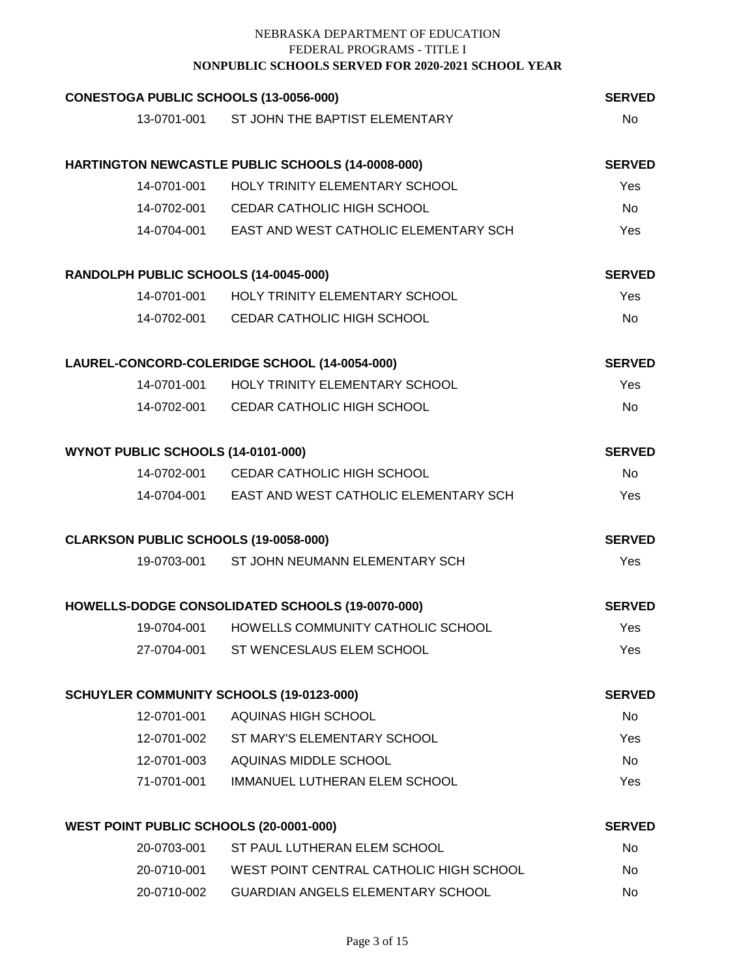| CONESTOGA PUBLIC SCHOOLS (13-0056-000)   |                                                     | <b>SERVED</b> |
|------------------------------------------|-----------------------------------------------------|---------------|
|                                          | 13-0701-001 ST JOHN THE BAPTIST ELEMENTARY          | <b>No</b>     |
|                                          | HARTINGTON NEWCASTLE PUBLIC SCHOOLS (14-0008-000)   | <b>SERVED</b> |
|                                          | 14-0701-001 HOLY TRINITY ELEMENTARY SCHOOL          | Yes           |
|                                          | 14-0702-001 CEDAR CATHOLIC HIGH SCHOOL              | <b>No</b>     |
|                                          | 14-0704-001 EAST AND WEST CATHOLIC ELEMENTARY SCH   | Yes           |
| RANDOLPH PUBLIC SCHOOLS (14-0045-000)    |                                                     | <b>SERVED</b> |
|                                          | 14-0701-001 HOLY TRINITY ELEMENTARY SCHOOL          | Yes           |
|                                          | 14-0702-001 CEDAR CATHOLIC HIGH SCHOOL              | <b>No</b>     |
|                                          | LAUREL-CONCORD-COLERIDGE SCHOOL (14-0054-000)       | <b>SERVED</b> |
|                                          | 14-0701-001 HOLY TRINITY ELEMENTARY SCHOOL          | Yes           |
|                                          | 14-0702-001 CEDAR CATHOLIC HIGH SCHOOL              | <b>No</b>     |
| WYNOT PUBLIC SCHOOLS (14-0101-000)       |                                                     | <b>SERVED</b> |
|                                          | 14-0702-001 CEDAR CATHOLIC HIGH SCHOOL              | No            |
|                                          | 14-0704-001 EAST AND WEST CATHOLIC ELEMENTARY SCH   | Yes           |
| CLARKSON PUBLIC SCHOOLS (19-0058-000)    |                                                     | <b>SERVED</b> |
|                                          | 19-0703-001 ST JOHN NEUMANN ELEMENTARY SCH          | Yes           |
|                                          | HOWELLS-DODGE CONSOLIDATED SCHOOLS (19-0070-000)    | <b>SERVED</b> |
| 19-0704-001                              | HOWELLS COMMUNITY CATHOLIC SCHOOL                   | Yes           |
|                                          | 27-0704-001 ST WENCESLAUS ELEM SCHOOL               | Yes           |
| SCHUYLER COMMUNITY SCHOOLS (19-0123-000) |                                                     | <b>SERVED</b> |
| 12-0701-001                              | AQUINAS HIGH SCHOOL                                 | No            |
|                                          | 12-0701-002 ST MARY'S ELEMENTARY SCHOOL             | Yes           |
|                                          | 12-0701-003 AQUINAS MIDDLE SCHOOL                   | <b>No</b>     |
|                                          | 71-0701-001 IMMANUEL LUTHERAN ELEM SCHOOL           | Yes           |
| WEST POINT PUBLIC SCHOOLS (20-0001-000)  |                                                     | <b>SERVED</b> |
| 20-0703-001                              | ST PAUL LUTHERAN ELEM SCHOOL                        | No            |
|                                          | 20-0710-001 WEST POINT CENTRAL CATHOLIC HIGH SCHOOL | No            |
| 20-0710-002                              | GUARDIAN ANGELS ELEMENTARY SCHOOL                   | No            |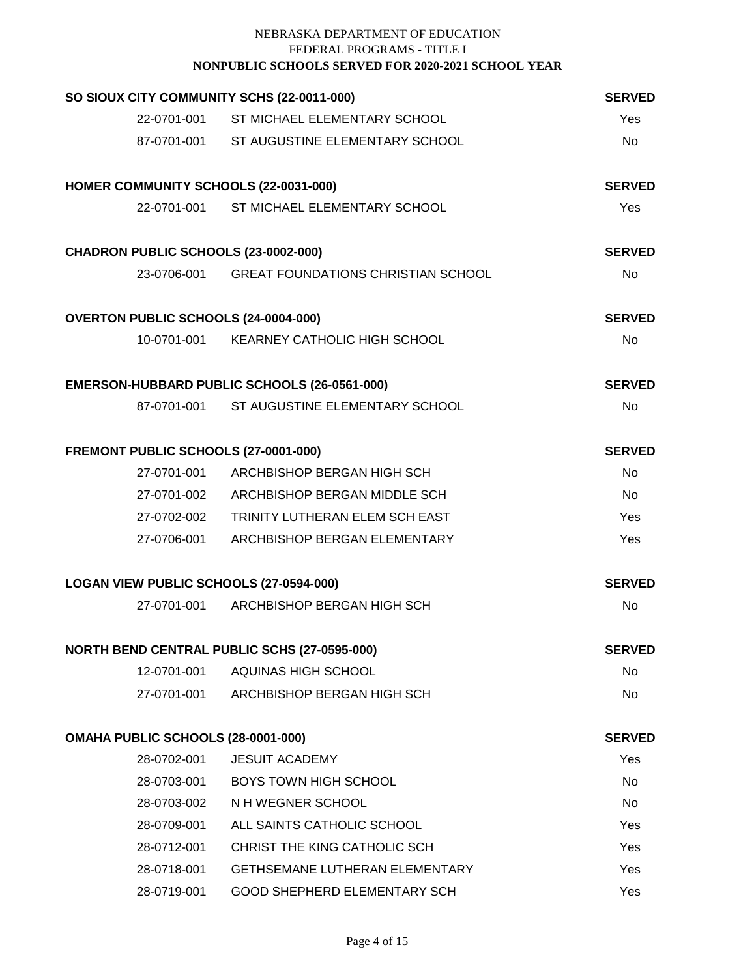| SO SIOUX CITY COMMUNITY SCHS (22-0011-000)  |                                                | <b>SERVED</b> |
|---------------------------------------------|------------------------------------------------|---------------|
|                                             | 22-0701-001 ST MICHAEL ELEMENTARY SCHOOL       | Yes           |
|                                             | 87-0701-001 ST AUGUSTINE ELEMENTARY SCHOOL     | <b>No</b>     |
| HOMER COMMUNITY SCHOOLS (22-0031-000)       |                                                | <b>SERVED</b> |
|                                             | 22-0701-001 ST MICHAEL ELEMENTARY SCHOOL       | Yes           |
| CHADRON PUBLIC SCHOOLS (23-0002-000)        |                                                | <b>SERVED</b> |
|                                             | 23-0706-001 GREAT FOUNDATIONS CHRISTIAN SCHOOL | <b>No</b>     |
| <b>OVERTON PUBLIC SCHOOLS (24-0004-000)</b> |                                                | <b>SERVED</b> |
|                                             | 10-0701-001 KEARNEY CATHOLIC HIGH SCHOOL       | <b>No</b>     |
|                                             | EMERSON-HUBBARD PUBLIC SCHOOLS (26-0561-000)   | <b>SERVED</b> |
|                                             | 87-0701-001 ST AUGUSTINE ELEMENTARY SCHOOL     | <b>No</b>     |
| FREMONT PUBLIC SCHOOLS (27-0001-000)        |                                                | <b>SERVED</b> |
|                                             | 27-0701-001 ARCHBISHOP BERGAN HIGH SCH         | <b>No</b>     |
|                                             | 27-0701-002 ARCHBISHOP BERGAN MIDDLE SCH       | <b>No</b>     |
|                                             | 27-0702-002 TRINITY LUTHERAN ELEM SCH EAST     | Yes           |
|                                             | 27-0706-001 ARCHBISHOP BERGAN ELEMENTARY       | Yes           |
| LOGAN VIEW PUBLIC SCHOOLS (27-0594-000)     |                                                | <b>SERVED</b> |
|                                             | 27-0701-001 ARCHBISHOP BERGAN HIGH SCH         | <b>No</b>     |
|                                             | NORTH BEND CENTRAL PUBLIC SCHS (27-0595-000)   | <b>SERVED</b> |
| 12-0701-001                                 | AQUINAS HIGH SCHOOL                            | No.           |
| 27-0701-001                                 | ARCHBISHOP BERGAN HIGH SCH                     | No            |
| <b>OMAHA PUBLIC SCHOOLS (28-0001-000)</b>   |                                                | <b>SERVED</b> |
| 28-0702-001                                 | <b>JESUIT ACADEMY</b>                          | Yes           |
| 28-0703-001                                 | <b>BOYS TOWN HIGH SCHOOL</b>                   | No            |
| 28-0703-002                                 | N H WEGNER SCHOOL                              | No            |
| 28-0709-001                                 | ALL SAINTS CATHOLIC SCHOOL                     | Yes           |
| 28-0712-001                                 | CHRIST THE KING CATHOLIC SCH                   | Yes           |
| 28-0718-001                                 | <b>GETHSEMANE LUTHERAN ELEMENTARY</b>          | Yes           |
| 28-0719-001                                 | GOOD SHEPHERD ELEMENTARY SCH                   | Yes           |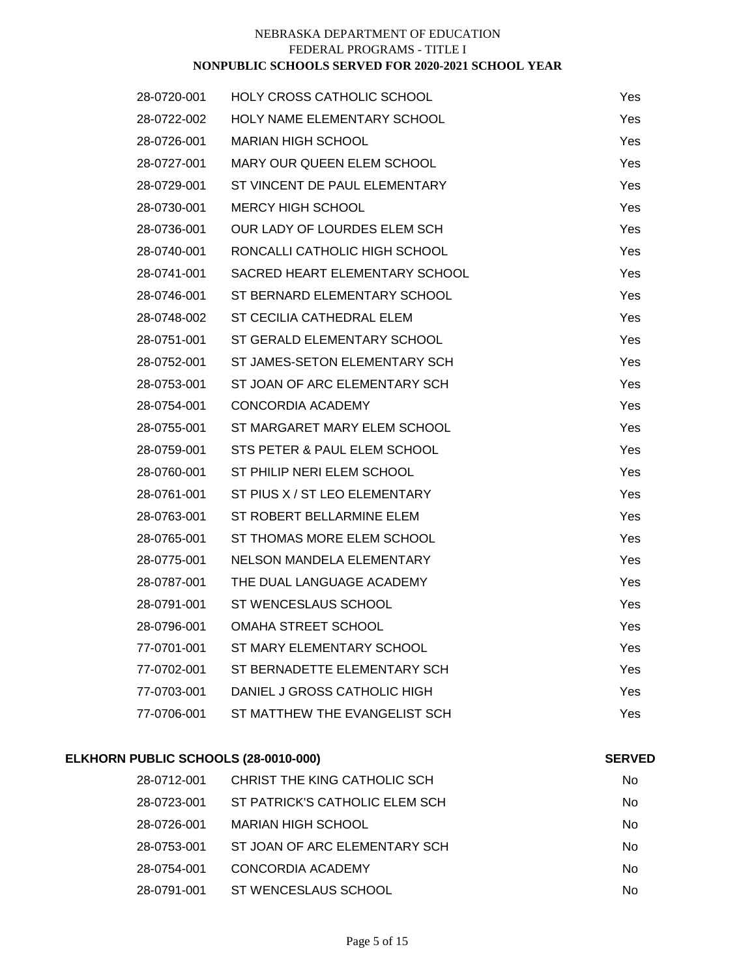| 28-0720-001 | <b>HOLY CROSS CATHOLIC SCHOOL</b> | Yes        |
|-------------|-----------------------------------|------------|
| 28-0722-002 | HOLY NAME ELEMENTARY SCHOOL       | Yes        |
| 28-0726-001 | <b>MARIAN HIGH SCHOOL</b>         | Yes        |
| 28-0727-001 | <b>MARY OUR QUEEN ELEM SCHOOL</b> | Yes.       |
| 28-0729-001 | ST VINCENT DE PAUL ELEMENTARY     | Yes        |
| 28-0730-001 | <b>MERCY HIGH SCHOOL</b>          | Yes        |
| 28-0736-001 | OUR LADY OF LOURDES ELEM SCH      | Yes        |
| 28-0740-001 | RONCALLI CATHOLIC HIGH SCHOOL     | Yes        |
| 28-0741-001 | SACRED HEART ELEMENTARY SCHOOL    | <b>Yes</b> |
| 28-0746-001 | ST BERNARD ELEMENTARY SCHOOL      | Yes        |
| 28-0748-002 | ST CECILIA CATHEDRAL ELEM         | Yes.       |
| 28-0751-001 | ST GERALD ELEMENTARY SCHOOL       | Yes        |
| 28-0752-001 | ST JAMES-SETON ELEMENTARY SCH     | Yes        |
| 28-0753-001 | ST JOAN OF ARC ELEMENTARY SCH     | Yes        |
| 28-0754-001 | CONCORDIA ACADEMY                 | Yes        |
| 28-0755-001 | ST MARGARET MARY ELEM SCHOOL      | Yes        |
| 28-0759-001 | STS PETER & PAUL ELEM SCHOOL      | Yes        |
| 28-0760-001 | ST PHILIP NERI ELEM SCHOOL        | Yes        |
| 28-0761-001 | ST PIUS X / ST LEO ELEMENTARY     | <b>Yes</b> |
| 28-0763-001 | ST ROBERT BELLARMINE ELEM         | Yes        |
| 28-0765-001 | ST THOMAS MORE ELEM SCHOOL        | <b>Yes</b> |
| 28-0775-001 | <b>NELSON MANDELA ELEMENTARY</b>  | Yes        |
| 28-0787-001 | THE DUAL LANGUAGE ACADEMY         | Yes        |
| 28-0791-001 | ST WENCESLAUS SCHOOL              | <b>Yes</b> |
| 28-0796-001 | <b>OMAHA STREET SCHOOL</b>        | Yes        |
| 77-0701-001 | ST MARY ELEMENTARY SCHOOL         | <b>Yes</b> |
| 77-0702-001 | ST BERNADETTE ELEMENTARY SCH      | Yes        |
| 77-0703-001 | DANIEL J GROSS CATHOLIC HIGH      | Yes        |
| 77-0706-001 | ST MATTHEW THE EVANGELIST SCH     | Yes        |

# **ELKHORN PUBLIC SCHOOLS (28-0010-000)**

# **SERVED**

| 28-0712-001 | CHRIST THE KING CATHOLIC SCH   | No |
|-------------|--------------------------------|----|
| 28-0723-001 | ST PATRICK'S CATHOLIC ELEM SCH | No |
| 28-0726-001 | MARIAN HIGH SCHOOL             | No |
| 28-0753-001 | ST JOAN OF ARC ELEMENTARY SCH  | No |
| 28-0754-001 | CONCORDIA ACADEMY              | No |
| 28-0791-001 | ST WENCESLAUS SCHOOL           | No |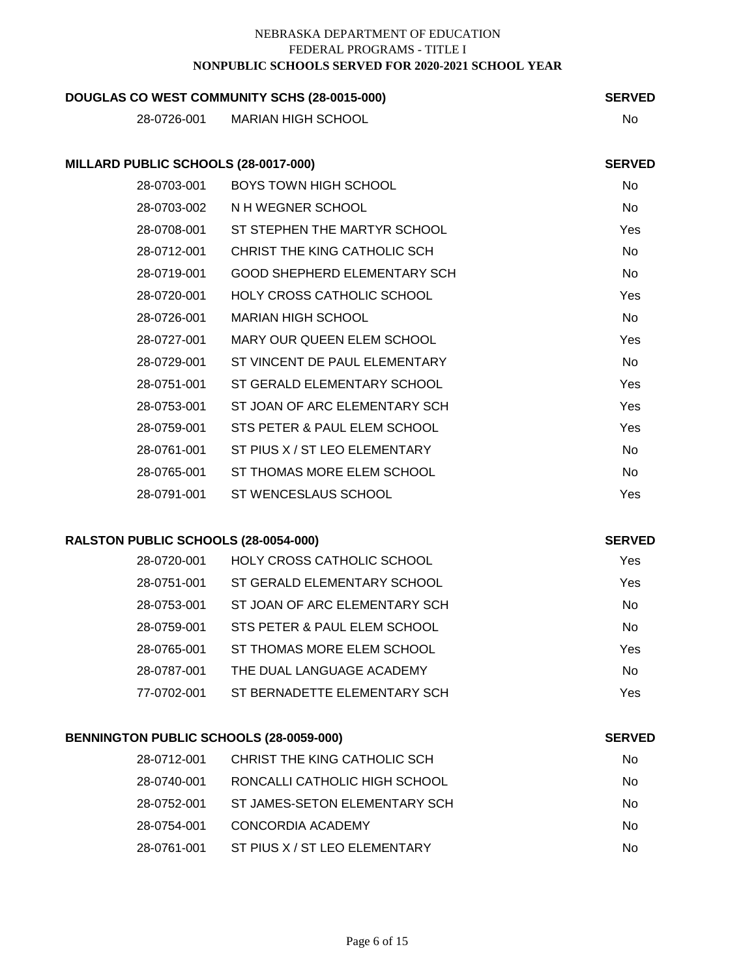| DOUGLAS CO WEST COMMUNITY SCHS (28-0015-000) | <b>SERVED</b>                       |                |
|----------------------------------------------|-------------------------------------|----------------|
| 28-0726-001                                  | <b>MARIAN HIGH SCHOOL</b>           | No             |
|                                              |                                     |                |
| MILLARD PUBLIC SCHOOLS (28-0017-000)         |                                     | <b>SERVED</b>  |
| 28-0703-001                                  | BOYS TOWN HIGH SCHOOL               | No             |
| 28-0703-002                                  | N H WEGNER SCHOOL                   | No             |
| 28-0708-001                                  | ST STEPHEN THE MARTYR SCHOOL        | Yes            |
| 28-0712-001                                  | CHRIST THE KING CATHOLIC SCH        | <b>No</b>      |
| 28-0719-001                                  | <b>GOOD SHEPHERD ELEMENTARY SCH</b> | <b>No</b>      |
| 28-0720-001                                  | <b>HOLY CROSS CATHOLIC SCHOOL</b>   | Yes            |
| 28-0726-001                                  | <b>MARIAN HIGH SCHOOL</b>           | No             |
| 28-0727-001                                  | MARY OUR QUEEN ELEM SCHOOL          | Yes            |
| 28-0729-001                                  | ST VINCENT DE PAUL ELEMENTARY       | No             |
| 28-0751-001                                  | ST GERALD ELEMENTARY SCHOOL         | Yes            |
| 28-0753-001                                  | ST JOAN OF ARC ELEMENTARY SCH       | Yes            |
| 28-0759-001                                  | STS PETER & PAUL ELEM SCHOOL        | Yes            |
| 28-0761-001                                  | ST PIUS X / ST LEO ELEMENTARY       | <b>No</b>      |
| 28-0765-001                                  | ST THOMAS MORE ELEM SCHOOL          | N <sub>0</sub> |
| 28-0791-001                                  | ST WENCESLAUS SCHOOL                | Yes            |
|                                              |                                     |                |

# **RALSTON PUBLIC SCHOOLS (28-0054-000)**

**SERVED**

**SERVED**

| 28-0720-001 | <b>HOLY CROSS CATHOLIC SCHOOL</b> | Yes |
|-------------|-----------------------------------|-----|
| 28-0751-001 | ST GERALD ELEMENTARY SCHOOL       | Yes |
| 28-0753-001 | ST JOAN OF ARC ELEMENTARY SCH     | No  |
| 28-0759-001 | STS PETER & PAUL ELEM SCHOOL      | No  |
| 28-0765-001 | ST THOMAS MORE ELEM SCHOOL        | Yes |
| 28-0787-001 | THE DUAL LANGUAGE ACADEMY         | No  |
| 77-0702-001 | ST BERNADETTE ELEMENTARY SCH      | Yes |
|             |                                   |     |

# **BENNINGTON PUBLIC SCHOOLS (28-0059-000)**

| 28-0712-001 | CHRIST THE KING CATHOLIC SCH  | No  |
|-------------|-------------------------------|-----|
| 28-0740-001 | RONCALLI CATHOLIC HIGH SCHOOL | No. |
| 28-0752-001 | ST JAMES-SETON ELEMENTARY SCH | Nο  |
| 28-0754-001 | CONCORDIA ACADEMY             | Nο  |
| 28-0761-001 | ST PIUS X / ST LEO ELEMENTARY | No  |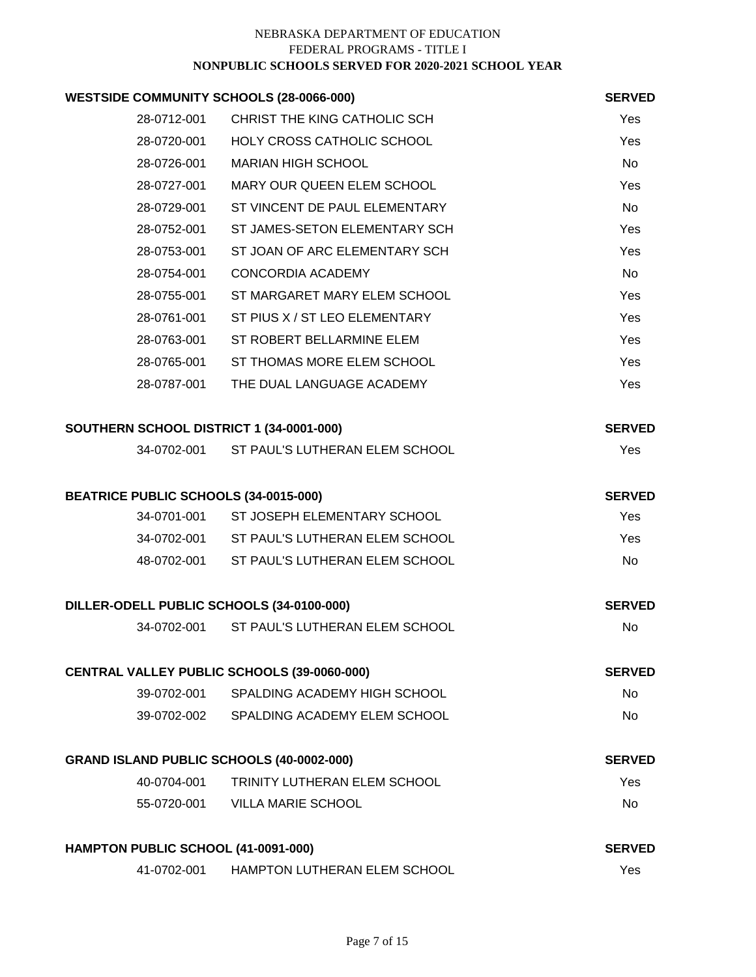# **WESTSIDE COMMUNITY SCHOOLS (28-0066-000)**

| COMMUNITY SCHOOLS (28-0066-000) |                               | <b>SERVED</b> |
|---------------------------------|-------------------------------|---------------|
| 28-0712-001                     | CHRIST THE KING CATHOLIC SCH  | <b>Yes</b>    |
| 28-0720-001                     | HOLY CROSS CATHOLIC SCHOOL    | Yes           |
| 28-0726-001                     | <b>MARIAN HIGH SCHOOL</b>     | No.           |
| 28-0727-001                     | MARY OUR QUEEN ELEM SCHOOL    | Yes           |
| 28-0729-001                     | ST VINCENT DE PAUL ELEMENTARY | No.           |
| 28-0752-001                     | ST JAMES-SETON ELEMENTARY SCH | Yes           |
| 28-0753-001                     | ST JOAN OF ARC ELEMENTARY SCH | <b>Yes</b>    |
| 28-0754-001                     | CONCORDIA ACADEMY             | No.           |
| 28-0755-001                     | ST MARGARET MARY ELEM SCHOOL  | Yes           |
| 28-0761-001                     | ST PIUS X / ST LEO ELEMENTARY | Yes           |
| 28-0763-001                     | ST ROBERT BELLARMINE ELEM     | <b>Yes</b>    |
| 28-0765-001                     | ST THOMAS MORE ELEM SCHOOL    | <b>Yes</b>    |
| 28-0787-001                     | THE DUAL LANGUAGE ACADEMY     | Yes           |

| SOUTHERN SCHOOL DISTRICT 1 (34-0001-000) | <b>SERVED</b>                  |     |
|------------------------------------------|--------------------------------|-----|
| 34-0702-001                              | ST PAUL'S LUTHERAN ELEM SCHOOL | Yes |

| <b>BEATRICE PUBLIC SCHOOLS (34-0015-000)</b> | <b>SERVED</b>                  |     |
|----------------------------------------------|--------------------------------|-----|
| 34-0701-001                                  | ST JOSEPH ELEMENTARY SCHOOL    | Yes |
| 34-0702-001                                  | ST PAUL'S LUTHERAN ELEM SCHOOL | Yes |
| 48-0702-001                                  | ST PAUL'S LUTHERAN ELEM SCHOOL | No. |
|                                              |                                |     |

| DILLER-ODELL PUBLIC SCHOOLS (34-0100-000) |                                | <b>SERVED</b> |
|-------------------------------------------|--------------------------------|---------------|
| 34-0702-001                               | ST PAUL'S LUTHERAN ELEM SCHOOL | N٥            |

| <b>CENTRAL VALLEY PUBLIC SCHOOLS (39-0060-000)</b> |                              | <b>SERVED</b> |
|----------------------------------------------------|------------------------------|---------------|
| 39-0702-001                                        | SPALDING ACADEMY HIGH SCHOOL | Nο            |
| 39-0702-002                                        | SPALDING ACADEMY ELEM SCHOOL | Nο            |

| <b>GRAND ISLAND PUBLIC SCHOOLS (40-0002-000)</b> |                              | <b>SERVED</b> |
|--------------------------------------------------|------------------------------|---------------|
| 40-0704-001                                      | TRINITY LUTHERAN ELEM SCHOOL | Yes           |
| 55-0720-001                                      | VILLA MARIE SCHOOL           | No.           |

| HAMPTON PUBLIC SCHOOL (41-0091-000) |                              | <b>SERVED</b> |
|-------------------------------------|------------------------------|---------------|
| 41-0702-001                         | HAMPTON LUTHERAN ELEM SCHOOL | Yes           |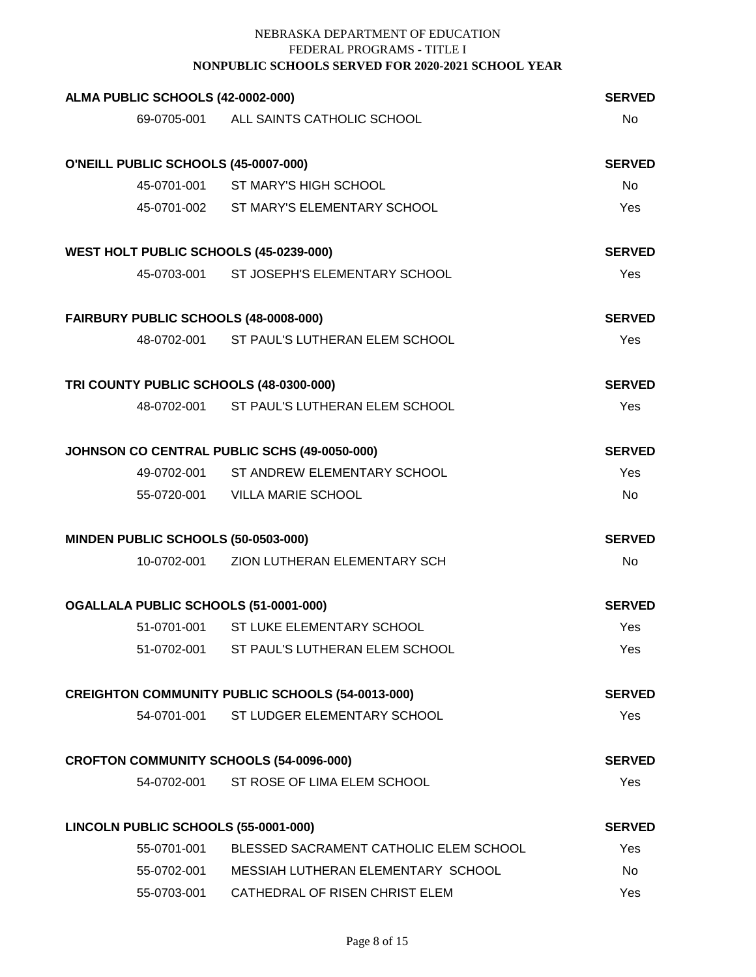| ALMA PUBLIC SCHOOLS (42-0002-000)              |                                                         | <b>SERVED</b> |
|------------------------------------------------|---------------------------------------------------------|---------------|
|                                                | 69-0705-001 ALL SAINTS CATHOLIC SCHOOL                  | <b>No</b>     |
|                                                |                                                         |               |
| O'NEILL PUBLIC SCHOOLS (45-0007-000)           |                                                         | <b>SERVED</b> |
|                                                | 45-0701-001 ST MARY'S HIGH SCHOOL                       | <b>No</b>     |
|                                                | 45-0701-002 ST MARY'S ELEMENTARY SCHOOL                 | Yes           |
| WEST HOLT PUBLIC SCHOOLS (45-0239-000)         |                                                         | <b>SERVED</b> |
|                                                | 45-0703-001 ST JOSEPH'S ELEMENTARY SCHOOL               | Yes           |
| FAIRBURY PUBLIC SCHOOLS (48-0008-000)          |                                                         | <b>SERVED</b> |
|                                                | 48-0702-001 ST PAUL'S LUTHERAN ELEM SCHOOL              | Yes           |
| TRI COUNTY PUBLIC SCHOOLS (48-0300-000)        |                                                         | <b>SERVED</b> |
|                                                | 48-0702-001 ST PAUL'S LUTHERAN ELEM SCHOOL              | Yes           |
|                                                | JOHNSON CO CENTRAL PUBLIC SCHS (49-0050-000)            | <b>SERVED</b> |
|                                                | 49-0702-001 ST ANDREW ELEMENTARY SCHOOL                 | Yes           |
|                                                | 55-0720-001 VILLA MARIE SCHOOL                          | <b>No</b>     |
| MINDEN PUBLIC SCHOOLS (50-0503-000)            |                                                         | <b>SERVED</b> |
|                                                | 10-0702-001 ZION LUTHERAN ELEMENTARY SCH                | <b>No</b>     |
| OGALLALA PUBLIC SCHOOLS (51-0001-000)          |                                                         | <b>SERVED</b> |
|                                                | 51-0701-001 ST LUKE ELEMENTARY SCHOOL                   | Yes           |
|                                                | 51-0702-001 ST PAUL'S LUTHERAN ELEM SCHOOL              | Yes           |
|                                                | <b>CREIGHTON COMMUNITY PUBLIC SCHOOLS (54-0013-000)</b> | <b>SERVED</b> |
| 54-0701-001                                    | ST LUDGER ELEMENTARY SCHOOL                             | Yes           |
| <b>CROFTON COMMUNITY SCHOOLS (54-0096-000)</b> |                                                         | <b>SERVED</b> |
|                                                | 54-0702-001 ST ROSE OF LIMA ELEM SCHOOL                 | Yes           |
| LINCOLN PUBLIC SCHOOLS (55-0001-000)           |                                                         | <b>SERVED</b> |
|                                                | 55-0701-001 BLESSED SACRAMENT CATHOLIC ELEM SCHOOL      | Yes           |
|                                                | 55-0702-001 MESSIAH LUTHERAN ELEMENTARY SCHOOL          | No            |
|                                                | 55-0703-001 CATHEDRAL OF RISEN CHRIST ELEM              | Yes           |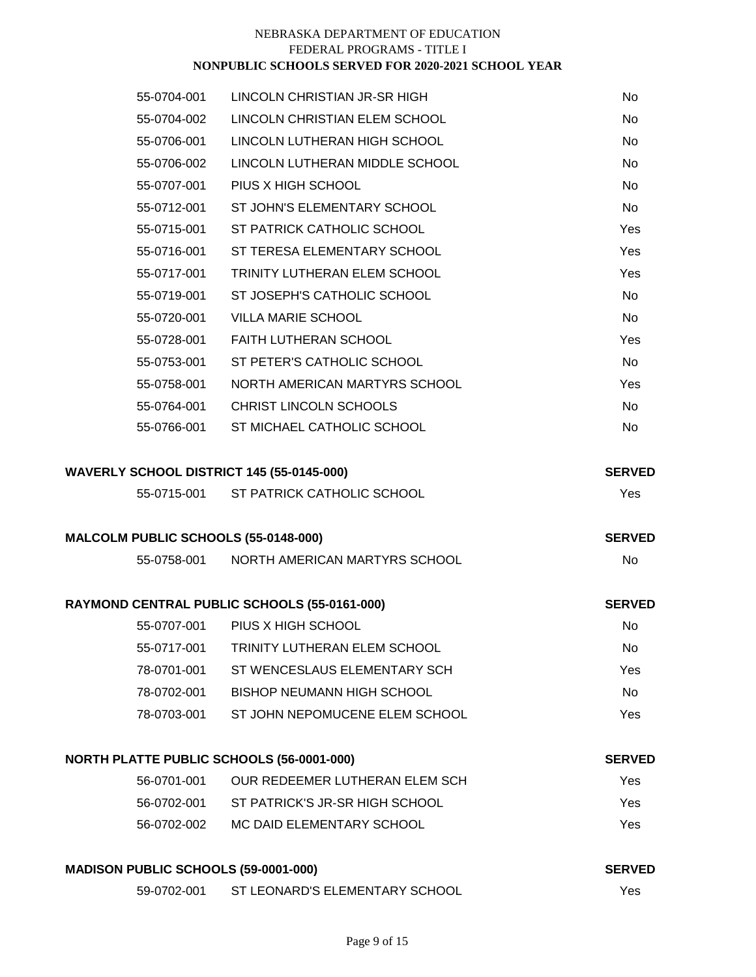| 55-0704-001                                 | LINCOLN CHRISTIAN JR-SR HIGH                 | No            |
|---------------------------------------------|----------------------------------------------|---------------|
| 55-0704-002                                 | LINCOLN CHRISTIAN ELEM SCHOOL                | No            |
| 55-0706-001                                 | LINCOLN LUTHERAN HIGH SCHOOL                 | No            |
| 55-0706-002                                 | LINCOLN LUTHERAN MIDDLE SCHOOL               | No            |
| 55-0707-001                                 | PIUS X HIGH SCHOOL                           | No            |
| 55-0712-001                                 | ST JOHN'S ELEMENTARY SCHOOL                  | No            |
| 55-0715-001                                 | ST PATRICK CATHOLIC SCHOOL                   | Yes           |
| 55-0716-001                                 | ST TERESA ELEMENTARY SCHOOL                  | Yes           |
| 55-0717-001                                 | TRINITY LUTHERAN ELEM SCHOOL                 | Yes           |
| 55-0719-001                                 | ST JOSEPH'S CATHOLIC SCHOOL                  | No            |
| 55-0720-001                                 | <b>VILLA MARIE SCHOOL</b>                    | No            |
| 55-0728-001                                 | <b>FAITH LUTHERAN SCHOOL</b>                 | Yes           |
| 55-0753-001                                 | ST PETER'S CATHOLIC SCHOOL                   | No            |
| 55-0758-001                                 | NORTH AMERICAN MARTYRS SCHOOL                | Yes           |
| 55-0764-001                                 | CHRIST LINCOLN SCHOOLS                       | No            |
| 55-0766-001                                 | ST MICHAEL CATHOLIC SCHOOL                   | No.           |
| WAVERLY SCHOOL DISTRICT 145 (55-0145-000)   |                                              | <b>SERVED</b> |
|                                             | 55-0715-001 ST PATRICK CATHOLIC SCHOOL       | Yes           |
| MALCOLM PUBLIC SCHOOLS (55-0148-000)        |                                              | <b>SERVED</b> |
| 55-0758-001                                 | NORTH AMERICAN MARTYRS SCHOOL                | No            |
|                                             |                                              |               |
|                                             | RAYMOND CENTRAL PUBLIC SCHOOLS (55-0161-000) | <b>SERVED</b> |
|                                             | 55-0707-001 PIUS X HIGH SCHOOL               | No.           |
| 55-0717-001                                 | <b>TRINITY LUTHERAN ELEM SCHOOL</b>          | No.           |
|                                             | 78-0701-001 ST WENCESLAUS ELEMENTARY SCH     | Yes           |
|                                             | 78-0702-001 BISHOP NEUMANN HIGH SCHOOL       | <b>No</b>     |
| 78-0703-001                                 | ST JOHN NEPOMUCENE ELEM SCHOOL               | Yes           |
| NORTH PLATTE PUBLIC SCHOOLS (56-0001-000)   |                                              | <b>SERVED</b> |
| 56-0701-001                                 | OUR REDEEMER LUTHERAN ELEM SCH               | Yes           |
|                                             | 56-0702-001 ST PATRICK'S JR-SR HIGH SCHOOL   | Yes           |
|                                             | 56-0702-002 MC DAID ELEMENTARY SCHOOL        | Yes           |
| <b>MADISON PUBLIC SCHOOLS (59-0001-000)</b> |                                              | <b>SERVED</b> |

| NUNUSITI UDENU UUINUULU (UJ UUUT UUUT |                                | ------ |
|---------------------------------------|--------------------------------|--------|
| 59-0702-001                           | ST LEONARD'S ELEMENTARY SCHOOL | Yes    |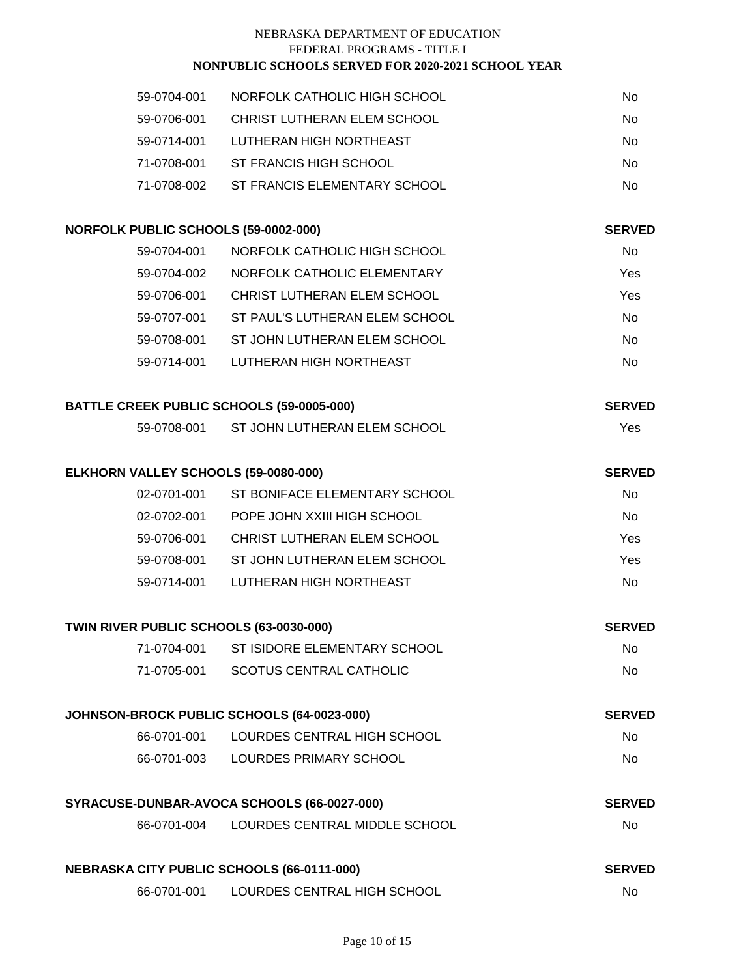| 59-0704-001 | NORFOLK CATHOLIC HIGH SCHOOL | No  |
|-------------|------------------------------|-----|
| 59-0706-001 | CHRIST LUTHERAN ELEM SCHOOL  | No. |
| 59-0714-001 | LUTHERAN HIGH NORTHEAST      | No. |
| 71-0708-001 | ST FRANCIS HIGH SCHOOL       | No. |
| 71-0708-002 | ST FRANCIS ELEMENTARY SCHOOL | No  |
|             |                              |     |

| NORFOLK PUBLIC SCHOOLS (59-0002-000)             |                                             | <b>SERVED</b> |
|--------------------------------------------------|---------------------------------------------|---------------|
| 59-0704-001                                      | NORFOLK CATHOLIC HIGH SCHOOL                | No            |
|                                                  | 59-0704-002 NORFOLK CATHOLIC ELEMENTARY     | Yes           |
| 59-0706-001                                      | CHRIST LUTHERAN ELEM SCHOOL                 | Yes           |
|                                                  | 59-0707-001 ST PAUL'S LUTHERAN ELEM SCHOOL  | <b>No</b>     |
|                                                  | 59-0708-001 ST JOHN LUTHERAN ELEM SCHOOL    | <b>No</b>     |
|                                                  | 59-0714-001 LUTHERAN HIGH NORTHEAST         | No            |
| <b>BATTLE CREEK PUBLIC SCHOOLS (59-0005-000)</b> |                                             | <b>SERVED</b> |
|                                                  | 59-0708-001 ST JOHN LUTHERAN ELEM SCHOOL    | Yes           |
| ELKHORN VALLEY SCHOOLS (59-0080-000)             |                                             | <b>SERVED</b> |
|                                                  | 02-0701-001 ST BONIFACE ELEMENTARY SCHOOL   | <b>No</b>     |
|                                                  | 02-0702-001 POPE JOHN XXIII HIGH SCHOOL     | No            |
|                                                  | 59-0706-001 CHRIST LUTHERAN ELEM SCHOOL     | Yes           |
| 59-0708-001                                      | ST JOHN LUTHERAN ELEM SCHOOL                | Yes           |
|                                                  | 59-0714-001 LUTHERAN HIGH NORTHEAST         | No            |
| TWIN RIVER PUBLIC SCHOOLS (63-0030-000)          |                                             | <b>SERVED</b> |
| 71-0704-001                                      | ST ISIDORE ELEMENTARY SCHOOL                | No            |
|                                                  | 71-0705-001 SCOTUS CENTRAL CATHOLIC         | No            |
|                                                  | JOHNSON-BROCK PUBLIC SCHOOLS (64-0023-000)  | <b>SERVED</b> |
| 66-0701-001                                      | LOURDES CENTRAL HIGH SCHOOL                 | No            |
|                                                  | 66-0701-003 LOURDES PRIMARY SCHOOL          | No            |
|                                                  | SYRACUSE-DUNBAR-AVOCA SCHOOLS (66-0027-000) | <b>SERVED</b> |
| 66-0701-004                                      | LOURDES CENTRAL MIDDLE SCHOOL               | No            |
| NEBRASKA CITY PUBLIC SCHOOLS (66-0111-000)       |                                             | <b>SERVED</b> |
|                                                  | 66-0701-001 LOURDES CENTRAL HIGH SCHOOL     | No            |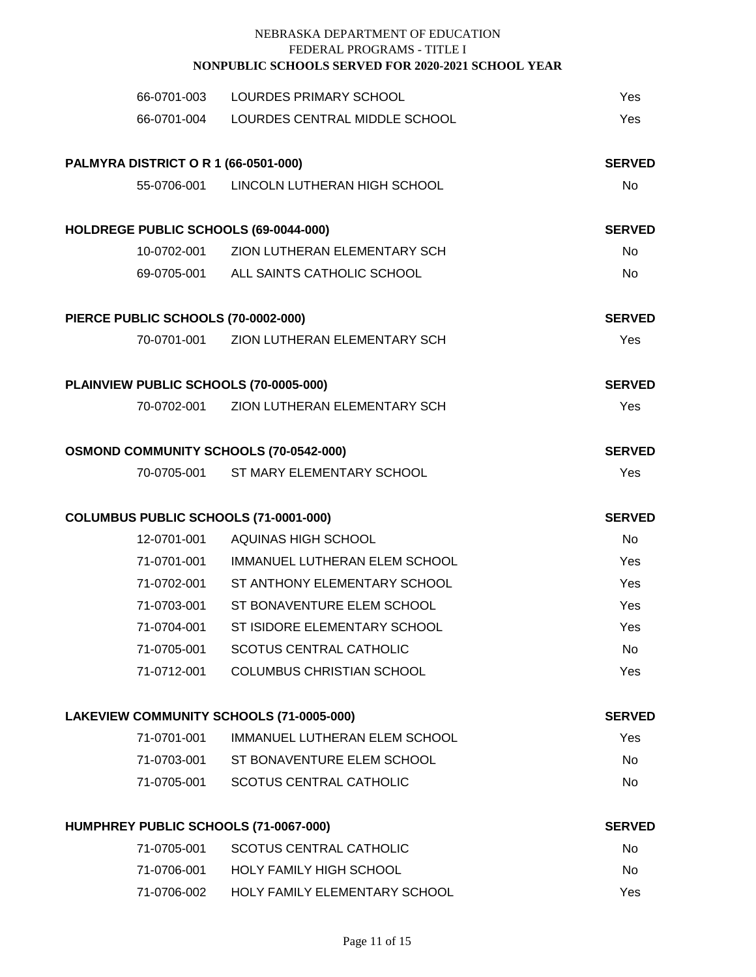|                                             | 66-0701-003 LOURDES PRIMARY SCHOOL        | Yes           |
|---------------------------------------------|-------------------------------------------|---------------|
|                                             | 66-0701-004 LOURDES CENTRAL MIDDLE SCHOOL | Yes           |
| <b>PALMYRA DISTRICT O R 1 (66-0501-000)</b> |                                           | <b>SERVED</b> |
|                                             | 55-0706-001 LINCOLN LUTHERAN HIGH SCHOOL  | No            |
| HOLDREGE PUBLIC SCHOOLS (69-0044-000)       |                                           | <b>SERVED</b> |
|                                             | 10-0702-001 ZION LUTHERAN ELEMENTARY SCH  | <b>No</b>     |
|                                             | 69-0705-001 ALL SAINTS CATHOLIC SCHOOL    | <b>No</b>     |
| PIERCE PUBLIC SCHOOLS (70-0002-000)         |                                           | <b>SERVED</b> |
|                                             | 70-0701-001 ZION LUTHERAN ELEMENTARY SCH  | Yes           |
| PLAINVIEW PUBLIC SCHOOLS (70-0005-000)      |                                           | <b>SERVED</b> |
|                                             | 70-0702-001 ZION LUTHERAN ELEMENTARY SCH  | Yes           |
| OSMOND COMMUNITY SCHOOLS (70-0542-000)      |                                           | <b>SERVED</b> |
|                                             | 70-0705-001 ST MARY ELEMENTARY SCHOOL     | Yes           |
| COLUMBUS PUBLIC SCHOOLS (71-0001-000)       |                                           | <b>SERVED</b> |
|                                             | 12-0701-001 AQUINAS HIGH SCHOOL           | <b>No</b>     |
|                                             | 71-0701-001 IMMANUEL LUTHERAN ELEM SCHOOL | Yes           |
|                                             | 71-0702-001 ST ANTHONY ELEMENTARY SCHOOL  | Yes           |
| 71-0703-001                                 | ST BONAVENTURE ELEM SCHOOL                | Yes           |
| 71-0704-001                                 | ST ISIDORE ELEMENTARY SCHOOL              | Yes           |
| 71-0705-001                                 | <b>SCOTUS CENTRAL CATHOLIC</b>            | No            |
| 71-0712-001                                 | <b>COLUMBUS CHRISTIAN SCHOOL</b>          | Yes           |
| LAKEVIEW COMMUNITY SCHOOLS (71-0005-000)    |                                           | <b>SERVED</b> |
| 71-0701-001                                 | IMMANUEL LUTHERAN ELEM SCHOOL             | Yes           |
|                                             | 71-0703-001 ST BONAVENTURE ELEM SCHOOL    | <b>No</b>     |
| 71-0705-001                                 | <b>SCOTUS CENTRAL CATHOLIC</b>            | <b>No</b>     |
| HUMPHREY PUBLIC SCHOOLS (71-0067-000)       |                                           | <b>SERVED</b> |
| 71-0705-001                                 | <b>SCOTUS CENTRAL CATHOLIC</b>            | No            |
|                                             | 71-0706-001 HOLY FAMILY HIGH SCHOOL       | No            |
| 71-0706-002                                 | HOLY FAMILY ELEMENTARY SCHOOL             | Yes           |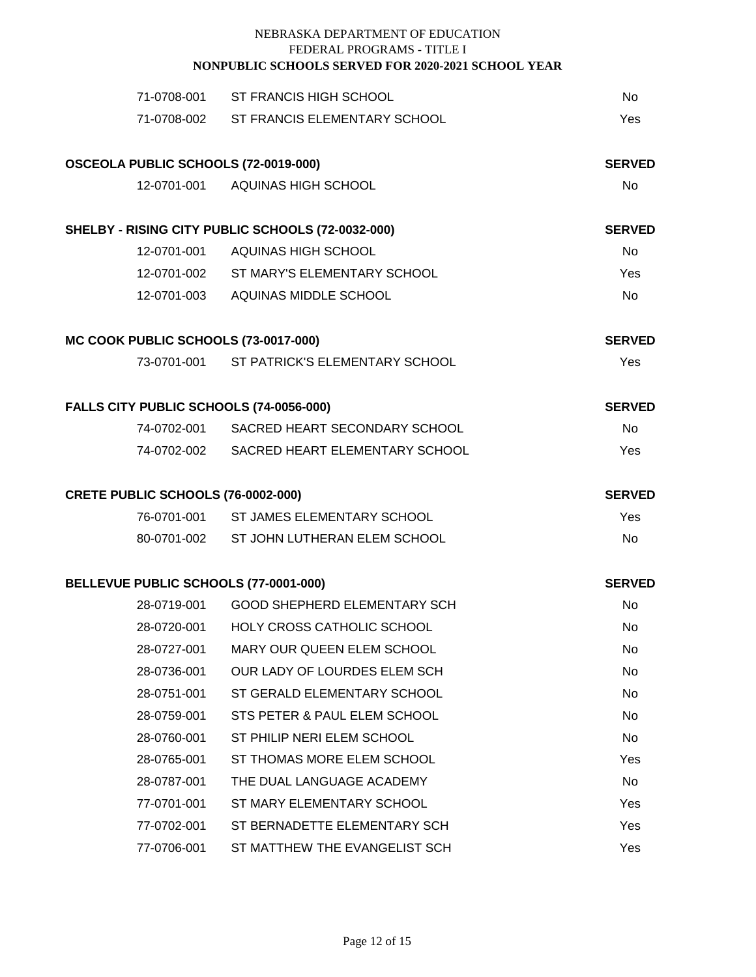|                                         | 71-0708-001 ST FRANCIS HIGH SCHOOL                | No            |
|-----------------------------------------|---------------------------------------------------|---------------|
|                                         | 71-0708-002 ST FRANCIS ELEMENTARY SCHOOL          | Yes           |
| OSCEOLA PUBLIC SCHOOLS (72-0019-000)    |                                                   | <b>SERVED</b> |
|                                         | 12-0701-001 AQUINAS HIGH SCHOOL                   | No            |
|                                         | SHELBY - RISING CITY PUBLIC SCHOOLS (72-0032-000) | <b>SERVED</b> |
|                                         | 12-0701-001 AQUINAS HIGH SCHOOL                   | <b>No</b>     |
|                                         | 12-0701-002 ST MARY'S ELEMENTARY SCHOOL           | Yes           |
|                                         | 12-0701-003 AQUINAS MIDDLE SCHOOL                 | No            |
| MC COOK PUBLIC SCHOOLS (73-0017-000)    |                                                   | <b>SERVED</b> |
|                                         | 73-0701-001 ST PATRICK'S ELEMENTARY SCHOOL        | Yes           |
| FALLS CITY PUBLIC SCHOOLS (74-0056-000) |                                                   | <b>SERVED</b> |
|                                         | 74-0702-001 SACRED HEART SECONDARY SCHOOL         | No            |
|                                         | 74-0702-002 SACRED HEART ELEMENTARY SCHOOL        | Yes           |
| CRETE PUBLIC SCHOOLS (76-0002-000)      |                                                   | <b>SERVED</b> |
|                                         | 76-0701-001 ST JAMES ELEMENTARY SCHOOL            | Yes           |
|                                         | 80-0701-002 ST JOHN LUTHERAN ELEM SCHOOL          | No            |
| BELLEVUE PUBLIC SCHOOLS (77-0001-000)   |                                                   | <b>SERVED</b> |
|                                         | 28-0719-001 GOOD SHEPHERD ELEMENTARY SCH          | No            |
|                                         | 28-0720-001 HOLY CROSS CATHOLIC SCHOOL            | No            |
| 28-0727-001                             | <b>MARY OUR QUEEN ELEM SCHOOL</b>                 | No            |
| 28-0736-001                             | OUR LADY OF LOURDES ELEM SCH                      | No            |
| 28-0751-001                             | ST GERALD ELEMENTARY SCHOOL                       | No.           |
| 28-0759-001                             | STS PETER & PAUL ELEM SCHOOL                      | No            |
| 28-0760-001                             | ST PHILIP NERI ELEM SCHOOL                        | No.           |
| 28-0765-001                             | ST THOMAS MORE ELEM SCHOOL                        | Yes           |
| 28-0787-001                             | THE DUAL LANGUAGE ACADEMY                         | No.           |
| 77-0701-001                             | ST MARY ELEMENTARY SCHOOL                         | Yes           |
| 77-0702-001                             | ST BERNADETTE ELEMENTARY SCH                      | Yes           |
| 77-0706-001                             | ST MATTHEW THE EVANGELIST SCH                     | Yes           |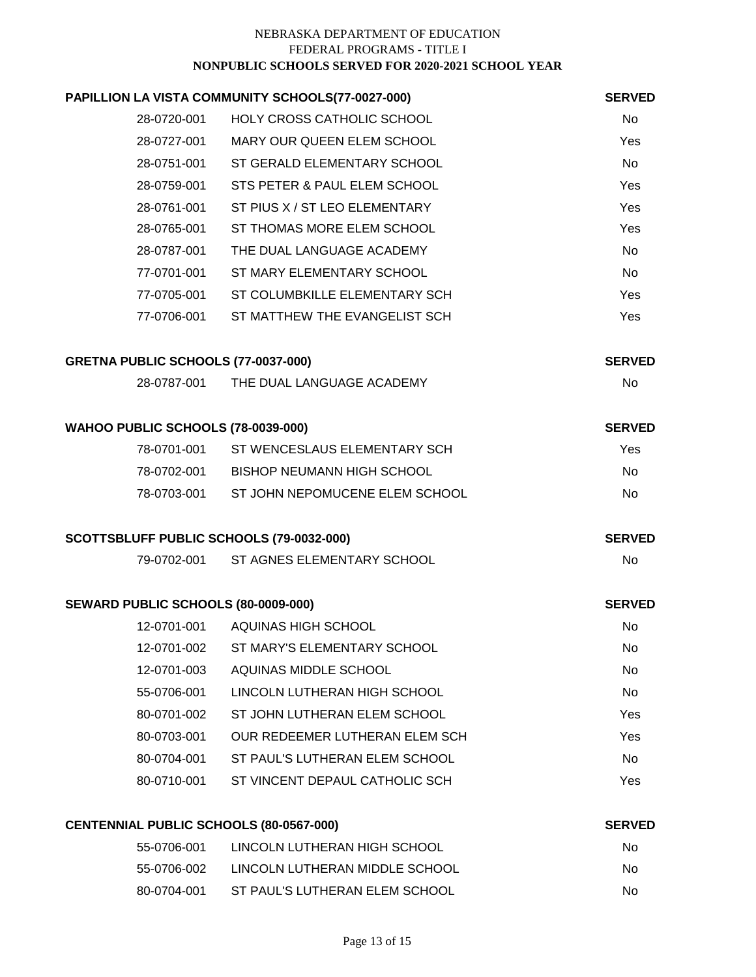|                                          | PAPILLION LA VISTA COMMUNITY SCHOOLS(77-0027-000) | <b>SERVED</b> |
|------------------------------------------|---------------------------------------------------|---------------|
| 28-0720-001                              | HOLY CROSS CATHOLIC SCHOOL                        | <b>No</b>     |
|                                          | 28-0727-001 MARY OUR QUEEN ELEM SCHOOL            | Yes           |
|                                          | 28-0751-001 ST GERALD ELEMENTARY SCHOOL           | No            |
| 28-0759-001                              | STS PETER & PAUL ELEM SCHOOL                      | Yes           |
|                                          | 28-0761-001 ST PIUS X / ST LEO ELEMENTARY         | Yes           |
| 28-0765-001                              | ST THOMAS MORE ELEM SCHOOL                        | Yes           |
| 28-0787-001                              | THE DUAL LANGUAGE ACADEMY                         | <b>No</b>     |
| 77-0701-001                              | ST MARY ELEMENTARY SCHOOL                         | No            |
| 77-0705-001                              | ST COLUMBKILLE ELEMENTARY SCH                     | Yes           |
| 77-0706-001                              | ST MATTHEW THE EVANGELIST SCH                     | Yes           |
| GRETNA PUBLIC SCHOOLS (77-0037-000)      |                                                   | <b>SERVED</b> |
| 28-0787-001                              | THE DUAL LANGUAGE ACADEMY                         | No            |
| WAHOO PUBLIC SCHOOLS (78-0039-000)       |                                                   | <b>SERVED</b> |
| 78-0701-001                              | ST WENCESLAUS ELEMENTARY SCH                      | Yes           |
|                                          | 78-0702-001 BISHOP NEUMANN HIGH SCHOOL            | <b>No</b>     |
| 78-0703-001                              | ST JOHN NEPOMUCENE ELEM SCHOOL                    | No            |
| SCOTTSBLUFF PUBLIC SCHOOLS (79-0032-000) |                                                   | <b>SERVED</b> |
|                                          | 79-0702-001 ST AGNES ELEMENTARY SCHOOL            | <b>No</b>     |
| SEWARD PUBLIC SCHOOLS (80-0009-000)      |                                                   | <b>SERVED</b> |
| 12-0701-001                              | AQUINAS HIGH SCHOOL                               | No            |
| 12-0701-002                              | ST MARY'S ELEMENTARY SCHOOL                       | <b>No</b>     |
| 12-0701-003                              | AQUINAS MIDDLE SCHOOL                             | No            |
| 55-0706-001                              | LINCOLN LUTHERAN HIGH SCHOOL                      | No            |
| 80-0701-002                              | ST JOHN LUTHERAN ELEM SCHOOL                      | Yes           |
| 80-0703-001                              | OUR REDEEMER LUTHERAN ELEM SCH                    | Yes           |
| 80-0704-001                              | ST PAUL'S LUTHERAN ELEM SCHOOL                    | <b>No</b>     |
| 80-0710-001                              | ST VINCENT DEPAUL CATHOLIC SCH                    | Yes           |
| CENTENNIAL PUBLIC SCHOOLS (80-0567-000)  |                                                   | <b>SERVED</b> |
|                                          | 55-0706-001 LINCOLN LUTHERAN HIGH SCHOOL          | $N_{\Omega}$  |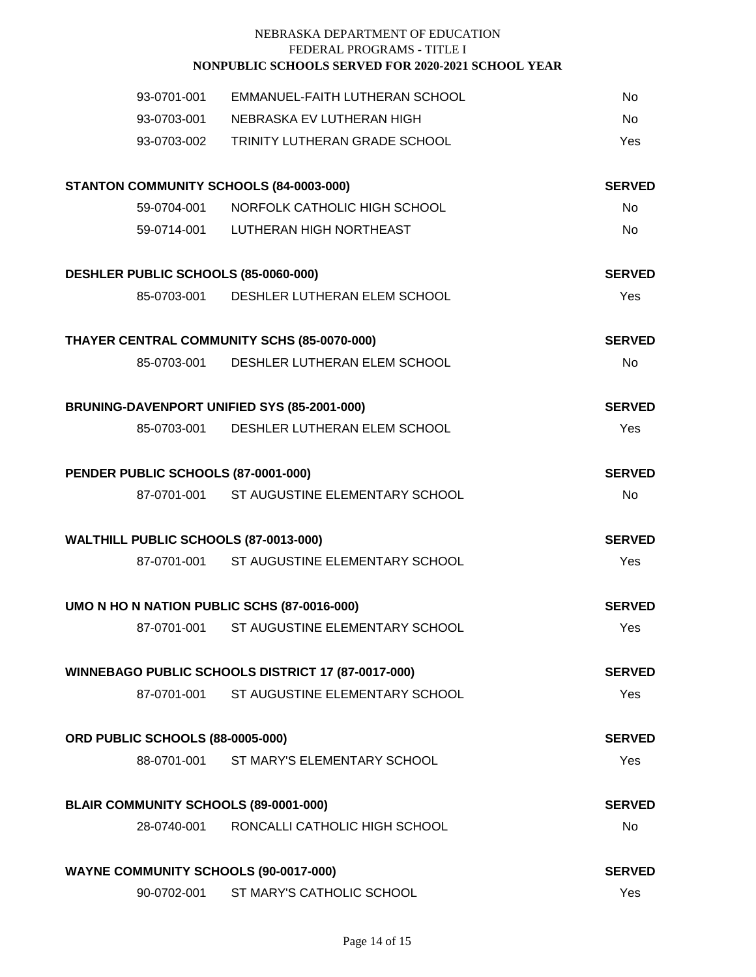| 93-0701-001                                        | EMMANUEL-FAITH LUTHERAN SCHOOL             | No         |
|----------------------------------------------------|--------------------------------------------|------------|
| 93-0703-001                                        | NEBRASKA EV LUTHERAN HIGH                  | No         |
| 93-0703-002                                        | TRINITY LUTHERAN GRADE SCHOOL              | Yes        |
| STANTON COMMUNITY SCHOOLS (84-0003-000)            | <b>SERVED</b>                              |            |
|                                                    | 59-0704-001 NORFOLK CATHOLIC HIGH SCHOOL   | No         |
|                                                    | 59-0714-001 LUTHERAN HIGH NORTHEAST        | No         |
| DESHLER PUBLIC SCHOOLS (85-0060-000)               | <b>SERVED</b>                              |            |
|                                                    | 85-0703-001 DESHLER LUTHERAN ELEM SCHOOL   | Yes        |
| THAYER CENTRAL COMMUNITY SCHS (85-0070-000)        | <b>SERVED</b>                              |            |
| 85-0703-001                                        | DESHLER LUTHERAN ELEM SCHOOL               | No         |
| BRUNING-DAVENPORT UNIFIED SYS (85-2001-000)        | <b>SERVED</b>                              |            |
|                                                    | 85-0703-001 DESHLER LUTHERAN ELEM SCHOOL   | <b>Yes</b> |
| PENDER PUBLIC SCHOOLS (87-0001-000)                | <b>SERVED</b>                              |            |
|                                                    | 87-0701-001 ST AUGUSTINE ELEMENTARY SCHOOL | <b>No</b>  |
| WALTHILL PUBLIC SCHOOLS (87-0013-000)              | <b>SERVED</b>                              |            |
|                                                    | 87-0701-001 ST AUGUSTINE ELEMENTARY SCHOOL | <b>Yes</b> |
| UMO N HO N NATION PUBLIC SCHS (87-0016-000)        | <b>SERVED</b>                              |            |
| 87-0701-001                                        | ST AUGUSTINE ELEMENTARY SCHOOL             | Yes        |
| WINNEBAGO PUBLIC SCHOOLS DISTRICT 17 (87-0017-000) | <b>SERVED</b>                              |            |
| 87-0701-001                                        | ST AUGUSTINE ELEMENTARY SCHOOL             | Yes        |
| ORD PUBLIC SCHOOLS (88-0005-000)                   | <b>SERVED</b>                              |            |
|                                                    | 88-0701-001 ST MARY'S ELEMENTARY SCHOOL    | Yes        |
| BLAIR COMMUNITY SCHOOLS (89-0001-000)              | <b>SERVED</b>                              |            |
| 28-0740-001                                        | RONCALLI CATHOLIC HIGH SCHOOL              | No         |
| <b>WAYNE COMMUNITY SCHOOLS (90-0017-000)</b>       | <b>SERVED</b>                              |            |
| 90-0702-001                                        | ST MARY'S CATHOLIC SCHOOL                  | Yes        |